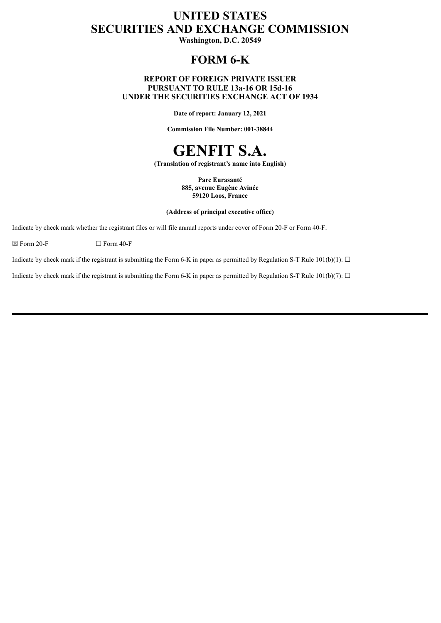# **UNITED STATES SECURITIES AND EXCHANGE COMMISSION**

**Washington, D.C. 20549**

# **FORM 6-K**

## **REPORT OF FOREIGN PRIVATE ISSUER PURSUANT TO RULE 13a-16 OR 15d-16 UNDER THE SECURITIES EXCHANGE ACT OF 1934**

**Date of report: January 12, 2021**

**Commission File Number: 001-38844**

# **GENFIT S.A.**

**(Translation of registrant's name into English)**

**Parc Eurasanté 885, avenue Eugène Avinée 59120 Loos, France**

**(Address of principal executive office)**

Indicate by check mark whether the registrant files or will file annual reports under cover of Form 20-F or Form 40-F:

 $\boxtimes$  Form 20-F  $\Box$  Form 40-F

Indicate by check mark if the registrant is submitting the Form 6-K in paper as permitted by Regulation S-T Rule 101(b)(1):  $\Box$ 

Indicate by check mark if the registrant is submitting the Form 6-K in paper as permitted by Regulation S-T Rule 101(b)(7):  $\Box$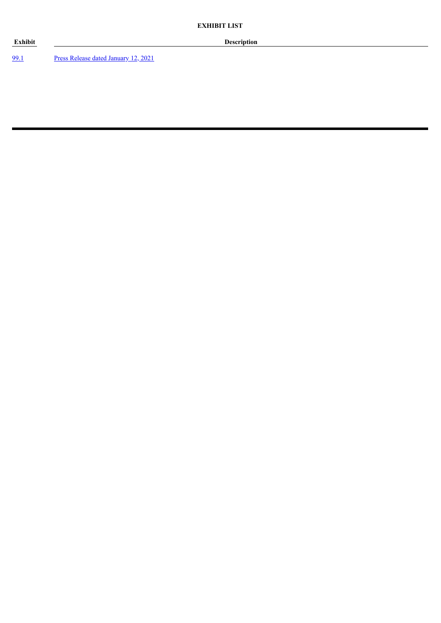[99.1](#page-3-0) Press Release dated [January](#page-3-0) 12, 2021

**Exhibit Description**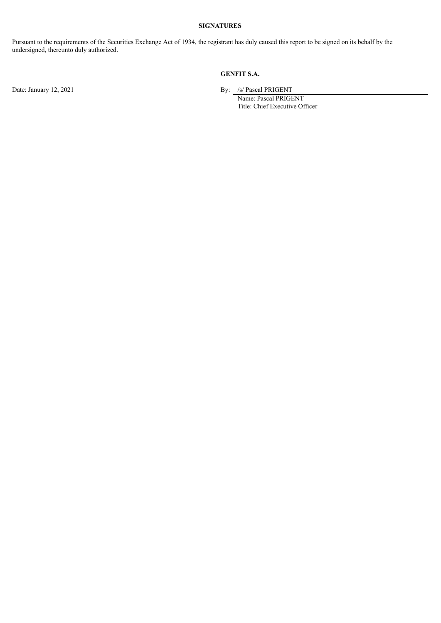# **SIGNATURES**

Pursuant to the requirements of the Securities Exchange Act of 1934, the registrant has duly caused this report to be signed on its behalf by the undersigned, thereunto duly authorized.

# **GENFIT S.A.**

Date: January 12, 2021 By: /s/ Pascal PRIGENT

Name: Pascal PRIGENT Title: Chief Executive Officer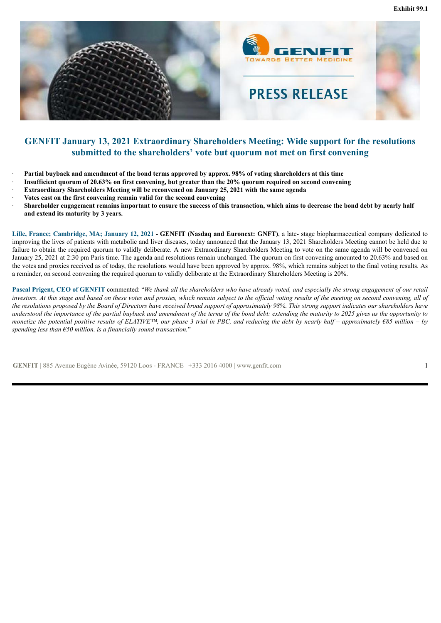<span id="page-3-0"></span>

# **GENFIT January 13, 2021 Extraordinary Shareholders Meeting: Wide support for the resolutions submitted to the shareholders' vote but quorum not met on first convening**

- Partial buyback and amendment of the bond terms approved by approx. 98% of voting shareholders at this time
- Insufficient quorum of 20.63% on first convening, but greater than the 20% quorum required on second convening
- · **Extraordinary Shareholders Meeting will be reconvened on January 25, 2021 with the same agenda**
- · **Votes cast on the first convening remain valid for the second convening**
- Shareholder engagement remains important to ensure the success of this transaction, which aims to decrease the bond debt by nearly half **and extend its maturity by 3 years.**

**Lille, France; Cambridge, MA; January 12, 2021** - **GENFIT (Nasdaq and Euronext: GNFT)**, a late- stage biopharmaceutical company dedicated to improving the lives of patients with metabolic and liver diseases, today announced that the January 13, 2021 Shareholders Meeting cannot be held due to failure to obtain the required quorum to validly deliberate. A new Extraordinary Shareholders Meeting to vote on the same agenda will be convened on January 25, 2021 at 2:30 pm Paris time. The agenda and resolutions remain unchanged. The quorum on first convening amounted to 20.63% and based on the votes and proxies received as of today, the resolutions would have been approved by approx. 98%, which remains subject to the final voting results. As a reminder, on second convening the required quorum to validly deliberate at the Extraordinary Shareholders Meeting is 20%.

Pascal Prigent, CEO of GENFIT commented: "We thank all the shareholders who have already voted, and especially the strong engagement of our retail investors. At this stage and based on these votes and proxies, which remain subject to the official voting results of the meeting on second convening, all of the resolutions proposed by the Board of Directors have received broad support of approximately 98%. This strong support indicates our shareholders have understood the importance of the partial buyback and amendment of the terms of the bond debt: extending the maturity to 2025 gives us the opportunity to monetize the potential positive results of ELATIVE<sup>TM</sup>, our phase 3 trial in PBC, and reducing the debt by nearly half – approximately  $685$  million – by *spending less than €50 million, is a financially sound transaction.*"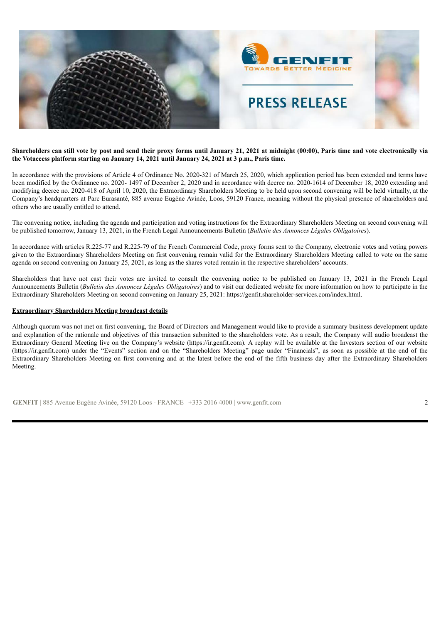

#### Shareholders can still vote by post and send their proxy forms until January 21, 2021 at midnight (00:00), Paris time and vote electronically via **the Votaccess platform starting on January 14, 2021 until January 24, 2021 at 3 p.m., Paris time.**

In accordance with the provisions of Article 4 of Ordinance No. 2020-321 of March 25, 2020, which application period has been extended and terms have been modified by the Ordinance no. 2020- 1497 of December 2, 2020 and in accordance with decree no. 2020-1614 of December 18, 2020 extending and modifying decree no. 2020-418 of April 10, 2020, the Extraordinary Shareholders Meeting to be held upon second convening will be held virtually, at the Company's headquarters at Parc Eurasanté, 885 avenue Eugène Avinée, Loos, 59120 France, meaning without the physical presence of shareholders and others who are usually entitled to attend.

The convening notice, including the agenda and participation and voting instructions for the Extraordinary Shareholders Meeting on second convening will be published tomorrow, January 13, 2021, in the French Legal Announcements Bulletin (*Bulletin des Annonces Légales Obligatoires*).

In accordance with articles R.225-77 and R.225-79 of the French Commercial Code, proxy forms sent to the Company, electronic votes and voting powers given to the Extraordinary Shareholders Meeting on first convening remain valid for the Extraordinary Shareholders Meeting called to vote on the same agenda on second convening on January 25, 2021, as long as the shares voted remain in the respective shareholders' accounts.

Shareholders that have not cast their votes are invited to consult the convening notice to be published on January 13, 2021 in the French Legal Announcements Bulletin (*Bulletin des Annonces Légales Obligatoires*) and to visit our dedicated website for more information on how to participate in the Extraordinary Shareholders Meeting on second convening on January 25, 2021: https://genfit.shareholder-services.com/index.html.

#### **Extraordinary Shareholders Meeting broadcast details**

Although quorum was not met on first convening, the Board of Directors and Management would like to provide a summary business development update and explanation of the rationale and objectives of this transaction submitted to the shareholders vote. As a result, the Company will audio broadcast the Extraordinary General Meeting live on the Company's website (https://ir.genfit.com). A replay will be available at the Investors section of our website (https://ir.genfit.com) under the "Events" section and on the "Shareholders Meeting" page under "Financials", as soon as possible at the end of the Extraordinary Shareholders Meeting on first convening and at the latest before the end of the fifth business day after the Extraordinary Shareholders Meeting.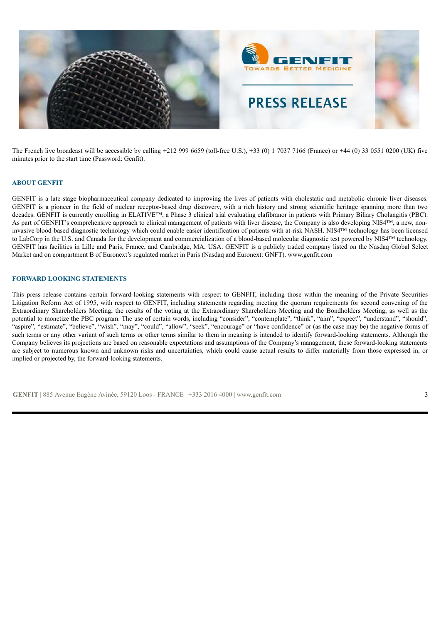

The French live broadcast will be accessible by calling +212 999 6659 (toll-free U.S.), +33 (0) 1 7037 7166 (France) or +44 (0) 33 0551 0200 (UK) five minutes prior to the start time (Password: Genfit).

#### **ABOUT GENFIT**

GENFIT is a late-stage biopharmaceutical company dedicated to improving the lives of patients with cholestatic and metabolic chronic liver diseases. GENFIT is a pioneer in the field of nuclear receptor-based drug discovery, with a rich history and strong scientific heritage spanning more than two decades. GENFIT is currently enrolling in ELATIVE™, a Phase 3 clinical trial evaluating elafibranor in patients with Primary Biliary Cholangitis (PBC). As part of GENFIT's comprehensive approach to clinical management of patients with liver disease, the Company is also developing NIS4™, a new, noninvasive blood-based diagnostic technology which could enable easier identification of patients with at-risk NASH. NIS4™ technology has been licensed to LabCorp in the U.S. and Canada for the development and commercialization of a blood-based molecular diagnostic test powered by NIS4™ technology. GENFIT has facilities in Lille and Paris, France, and Cambridge, MA, USA. GENFIT is a publicly traded company listed on the Nasdaq Global Select Market and on compartment B of Euronext's regulated market in Paris (Nasdaq and Euronext: GNFT). www.genfit.com

## **FORWARD LOOKING STATEMENTS**

This press release contains certain forward-looking statements with respect to GENFIT, including those within the meaning of the Private Securities Litigation Reform Act of 1995, with respect to GENFIT, including statements regarding meeting the quorum requirements for second convening of the Extraordinary Shareholders Meeting, the results of the voting at the Extraordinary Shareholders Meeting and the Bondholders Meeting, as well as the potential to monetize the PBC program. The use of certain words, including "consider", "contemplate", "think", "aim", "expect", "understand", "should", "aspire", "estimate", "believe", "wish", "may", "could", "allow", "seek", "encourage" or "have confidence" or (as the case may be) the negative forms of such terms or any other variant of such terms or other terms similar to them in meaning is intended to identify forward-looking statements. Although the Company believes its projections are based on reasonable expectations and assumptions of the Company's management, these forward-looking statements are subject to numerous known and unknown risks and uncertainties, which could cause actual results to differ materially from those expressed in, or implied or projected by, the forward-looking statements.